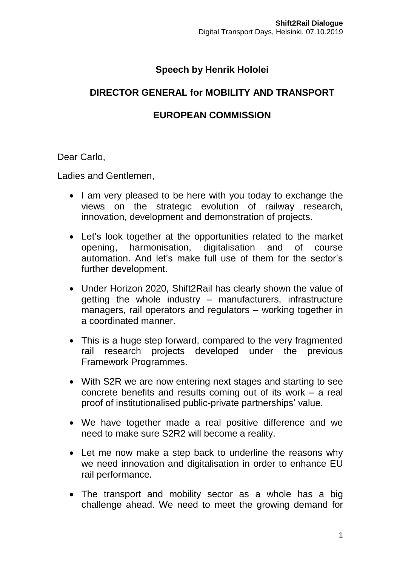## **Speech by Henrik Hololei**

## **DIRECTOR GENERAL for MOBILITY AND TRANSPORT**

## **EUROPEAN COMMISSION**

Dear Carlo,

Ladies and Gentlemen,

- I am very pleased to be here with you today to exchange the views on the strategic evolution of railway research, innovation, development and demonstration of projects.
- Let's look together at the opportunities related to the market opening, harmonisation, digitalisation and of course automation. And let's make full use of them for the sector's further development.
- Under Horizon 2020, Shift2Rail has clearly shown the value of getting the whole industry – manufacturers, infrastructure managers, rail operators and regulators – working together in a coordinated manner.
- This is a huge step forward, compared to the very fragmented rail research projects developed under the previous Framework Programmes.
- With S2R we are now entering next stages and starting to see concrete benefits and results coming out of its work – a real proof of institutionalised public-private partnerships' value.
- We have together made a real positive difference and we need to make sure S2R2 will become a reality.
- Let me now make a step back to underline the reasons why we need innovation and digitalisation in order to enhance EU rail performance.
- The transport and mobility sector as a whole has a big challenge ahead. We need to meet the growing demand for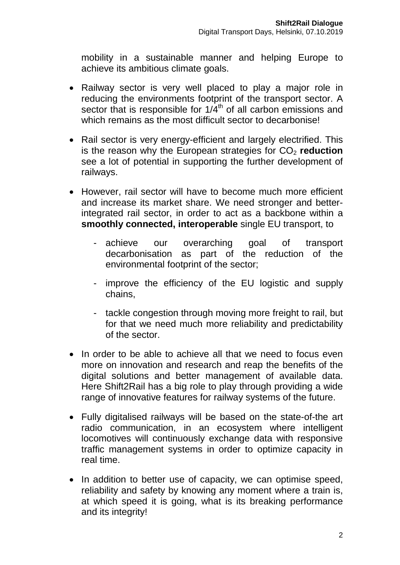mobility in a sustainable manner and helping Europe to achieve its ambitious climate goals.

- Railway sector is very well placed to play a major role in reducing the environments footprint of the transport sector. A sector that is responsible for 1/4<sup>th</sup> of all carbon emissions and which remains as the most difficult sector to decarbonise!
- Rail sector is very energy-efficient and largely electrified. This is the reason why the European strategies for CO<sub>2</sub> reduction see a lot of potential in supporting the further development of railways.
- However, rail sector will have to become much more efficient and increase its market share. We need stronger and betterintegrated rail sector, in order to act as a backbone within a **smoothly connected, interoperable** single EU transport, to
	- achieve our overarching goal of transport decarbonisation as part of the reduction of the environmental footprint of the sector;
	- improve the efficiency of the EU logistic and supply chains,
	- tackle congestion through moving more freight to rail, but for that we need much more reliability and predictability of the sector.
- In order to be able to achieve all that we need to focus even more on innovation and research and reap the benefits of the digital solutions and better management of available data. Here Shift2Rail has a big role to play through providing a wide range of innovative features for railway systems of the future.
- Fully digitalised railways will be based on the state-of-the art radio communication, in an ecosystem where intelligent locomotives will continuously exchange data with responsive traffic management systems in order to optimize capacity in real time.
- In addition to better use of capacity, we can optimise speed, reliability and safety by knowing any moment where a train is, at which speed it is going, what is its breaking performance and its integrity!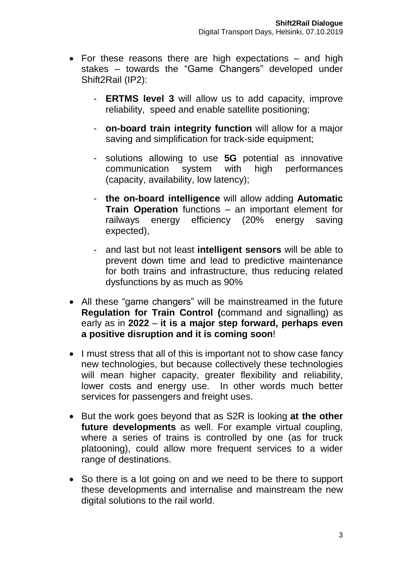- For these reasons there are high expectations and high stakes – towards the "Game Changers" developed under Shift2Rail (IP2):
	- **ERTMS level 3** will allow us to add capacity, improve reliability, speed and enable satellite positioning;
	- **on-board train integrity function** will allow for a major saving and simplification for track-side equipment;
	- solutions allowing to use **5G** potential as innovative communication system with high performances (capacity, availability, low latency);
	- **the on-board intelligence** will allow adding **Automatic Train Operation** functions – an important element for railways energy efficiency (20% energy saving expected),
	- and last but not least **intelligent sensors** will be able to prevent down time and lead to predictive maintenance for both trains and infrastructure, thus reducing related dysfunctions by as much as 90%
- All these "game changers" will be mainstreamed in the future **Regulation for Train Control (**command and signalling) as early as in **2022** – **it is a major step forward, perhaps even a positive disruption and it is coming soon**!
- I must stress that all of this is important not to show case fancy new technologies, but because collectively these technologies will mean higher capacity, greater flexibility and reliability, lower costs and energy use. In other words much better services for passengers and freight uses.
- But the work goes beyond that as S2R is looking **at the other future developments** as well. For example virtual coupling, where a series of trains is controlled by one (as for truck platooning), could allow more frequent services to a wider range of destinations.
- So there is a lot going on and we need to be there to support these developments and internalise and mainstream the new digital solutions to the rail world.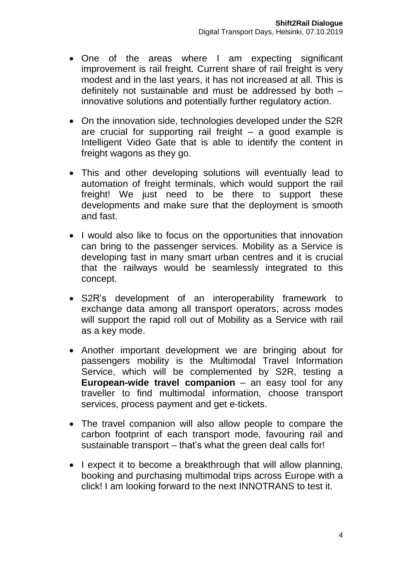- One of the areas where I am expecting significant improvement is rail freight. Current share of rail freight is very modest and in the last years, it has not increased at all. This is definitely not sustainable and must be addressed by both – innovative solutions and potentially further regulatory action.
- On the innovation side, technologies developed under the S2R are crucial for supporting rail freight – a good example is Intelligent Video Gate that is able to identify the content in freight wagons as they go.
- This and other developing solutions will eventually lead to automation of freight terminals, which would support the rail freight! We just need to be there to support these developments and make sure that the deployment is smooth and fast.
- I would also like to focus on the opportunities that innovation can bring to the passenger services. Mobility as a Service is developing fast in many smart urban centres and it is crucial that the railways would be seamlessly integrated to this concept.
- S2R's development of an interoperability framework to exchange data among all transport operators, across modes will support the rapid roll out of Mobility as a Service with rail as a key mode.
- Another important development we are bringing about for passengers mobility is the Multimodal Travel Information Service, which will be complemented by S2R, testing a **European-wide travel companion** – an easy tool for any traveller to find multimodal information, choose transport services, process payment and get e-tickets.
- The travel companion will also allow people to compare the carbon footprint of each transport mode, favouring rail and sustainable transport – that's what the green deal calls for!
- I expect it to become a breakthrough that will allow planning, booking and purchasing multimodal trips across Europe with a click! I am looking forward to the next INNOTRANS to test it.